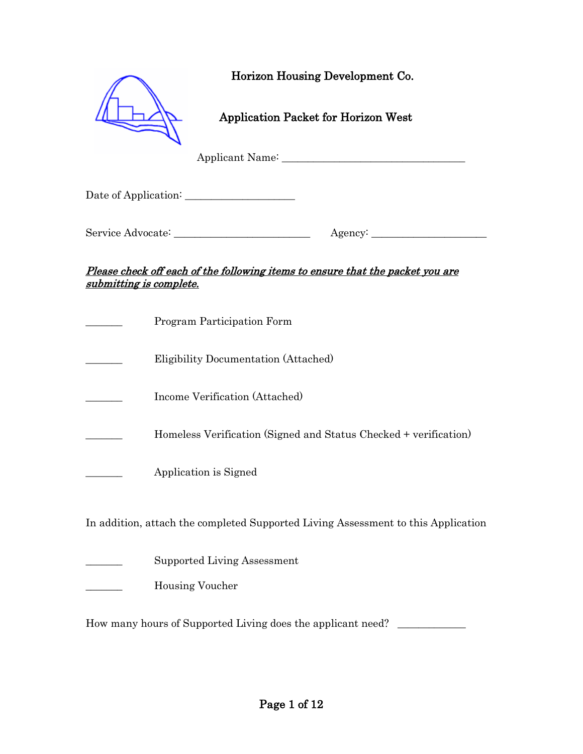|                        | Horizon Housing Development Co.            |  |
|------------------------|--------------------------------------------|--|
|                        | <b>Application Packet for Horizon West</b> |  |
|                        | Applicant Name:                            |  |
| Date of Application: _ |                                            |  |

#### Please check off each of the following items to ensure that the packet you are submitting is complete.

| Program Participation Form                                                        |
|-----------------------------------------------------------------------------------|
| Eligibility Documentation (Attached)                                              |
| Income Verification (Attached)                                                    |
| Homeless Verification (Signed and Status Checked + verification)                  |
| Application is Signed                                                             |
| In addition, attach the completed Supported Living Assessment to this Application |
| Supported Living Assessment                                                       |

\_\_\_\_\_\_\_ Housing Voucher

How many hours of Supported Living does the applicant need? \_\_\_\_\_\_\_\_\_\_\_\_\_\_\_\_\_\_\_\_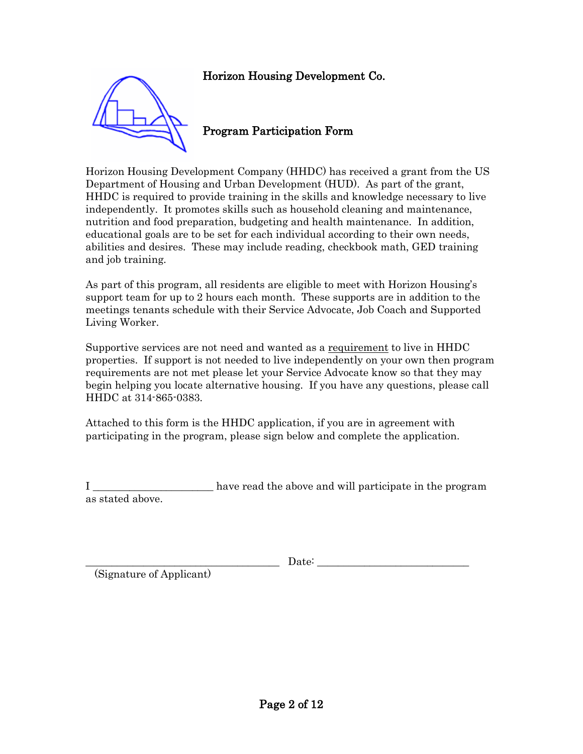

### Program Participation Form

Horizon Housing Development Company (HHDC) has received a grant from the US Department of Housing and Urban Development (HUD). As part of the grant, HHDC is required to provide training in the skills and knowledge necessary to live independently. It promotes skills such as household cleaning and maintenance, nutrition and food preparation, budgeting and health maintenance. In addition, educational goals are to be set for each individual according to their own needs, abilities and desires. These may include reading, checkbook math, GED training and job training.

As part of this program, all residents are eligible to meet with Horizon Housing's support team for up to 2 hours each month. These supports are in addition to the meetings tenants schedule with their Service Advocate, Job Coach and Supported Living Worker.

Supportive services are not need and wanted as a requirement to live in HHDC properties. If support is not needed to live independently on your own then program requirements are not met please let your Service Advocate know so that they may begin helping you locate alternative housing. If you have any questions, please call HHDC at 314-865-0383.

Attached to this form is the HHDC application, if you are in agreement with participating in the program, please sign below and complete the application.

I \_\_\_\_\_\_\_\_\_\_\_\_\_\_\_\_\_\_\_\_\_\_\_\_\_ have read the above and will participate in the program as stated above.

(Signature of Applicant)

 $\text{Date:}$ 

Page 2 of 12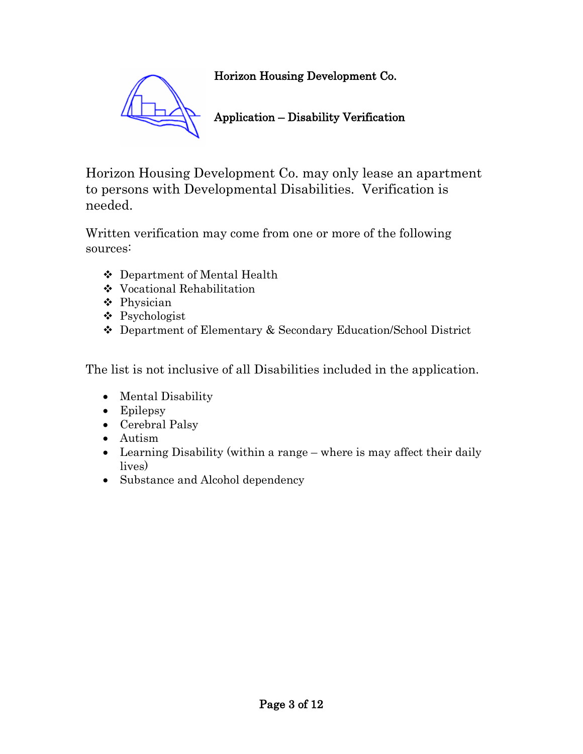

# Application – Disability Verification

Horizon Housing Development Co. may only lease an apartment to persons with Developmental Disabilities. Verification is needed.

Written verification may come from one or more of the following sources:

- Department of Mental Health
- Vocational Rehabilitation
- Physician
- Psychologist
- Department of Elementary & Secondary Education/School District

The list is not inclusive of all Disabilities included in the application.

- Mental Disability
- Epilepsy
- Cerebral Palsy
- Autism
- Learning Disability (within a range where is may affect their daily lives)
- Substance and Alcohol dependency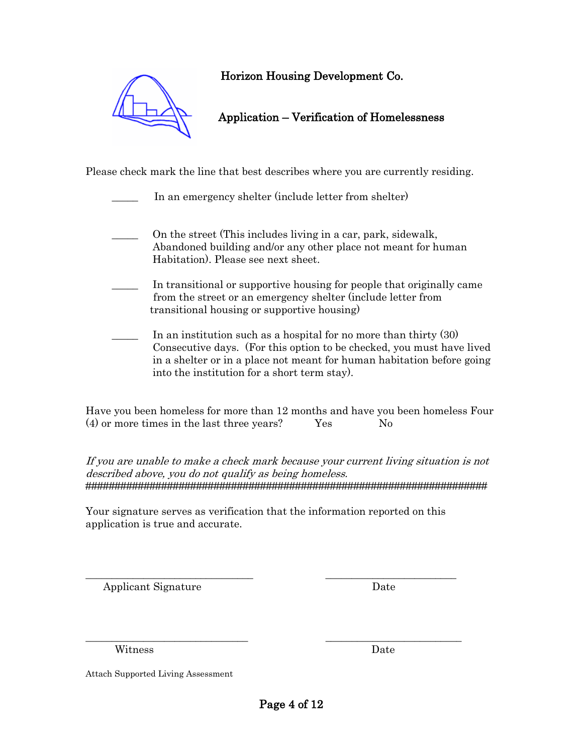

Please check mark the line that best describes where you are currently residing.

In an emergency shelter (include letter from shelter)

- \_\_\_\_\_ On the street (This includes living in a car, park, sidewalk, Abandoned building and/or any other place not meant for human Habitation). Please see next sheet.
- In transitional or supportive housing for people that originally came from the street or an emergency shelter (include letter from transitional housing or supportive housing)
- In an institution such as a hospital for no more than thirty  $(30)$  Consecutive days. (For this option to be checked, you must have lived in a shelter or in a place not meant for human habitation before going into the institution for a short term stay).

Have you been homeless for more than 12 months and have you been homeless Four  $(4)$  or more times in the last three years? Yes No

If you are unable to make a check mark because your current living situation is not described above, you do not qualify as being homeless. #####################################################################

Your signature serves as verification that the information reported on this application is true and accurate.

\_\_\_\_\_\_\_\_\_\_\_\_\_\_\_\_\_\_\_\_\_\_\_\_\_\_\_\_\_\_\_\_ \_\_\_\_\_\_\_\_\_\_\_\_\_\_\_\_\_\_\_\_\_\_\_\_\_

\_\_\_\_\_\_\_\_\_\_\_\_\_\_\_\_\_\_\_\_\_\_\_\_\_\_\_\_\_\_\_ \_\_\_\_\_\_\_\_\_\_\_\_\_\_\_\_\_\_\_\_\_\_\_\_\_\_

Applicant Signature Date

Witness Date

Attach Supported Living Assessment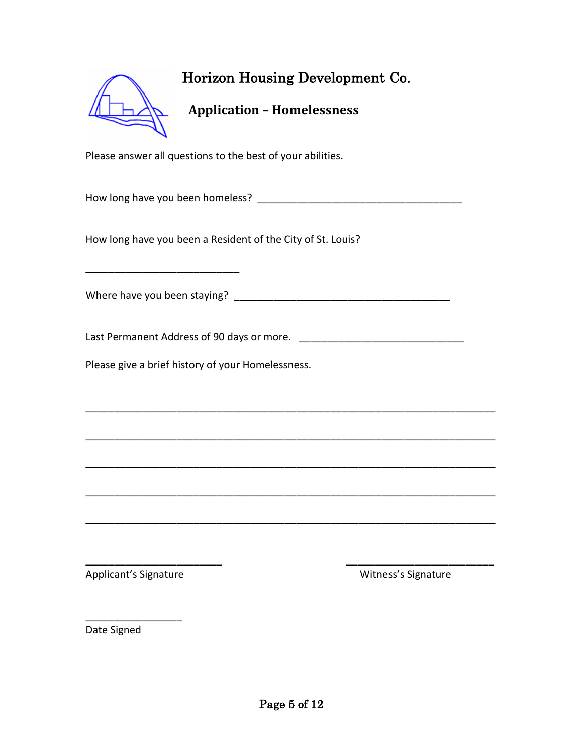| $\boldsymbol{\nu}$ |  |
|--------------------|--|
|                    |  |

## **Application – Homelessness**

Please answer all questions to the best of your abilities.

How long have you been homeless? **Example 10** 

How long have you been a Resident of the City of St. Louis?

Where have you been staying? \_\_\_\_\_\_\_\_\_\_\_\_\_\_\_\_\_\_\_\_\_\_\_\_\_\_\_\_\_\_\_\_\_\_\_\_\_\_

\_\_\_\_\_\_\_\_\_\_\_\_\_\_\_\_\_\_\_\_\_\_\_\_\_\_\_

Last Permanent Address of 90 days or more. \_\_\_\_\_\_\_\_\_\_\_\_\_\_\_\_\_\_\_\_\_\_\_\_\_\_\_\_\_

\_\_\_\_\_\_\_\_\_\_\_\_\_\_\_\_\_\_\_\_\_\_\_\_\_\_\_\_\_\_\_\_\_\_\_\_\_\_\_\_\_\_\_\_\_\_\_\_\_\_\_\_\_\_\_\_\_\_\_\_\_\_\_\_\_\_\_\_\_\_\_\_

\_\_\_\_\_\_\_\_\_\_\_\_\_\_\_\_\_\_\_\_\_\_\_\_\_\_\_\_\_\_\_\_\_\_\_\_\_\_\_\_\_\_\_\_\_\_\_\_\_\_\_\_\_\_\_\_\_\_\_\_\_\_\_\_\_\_\_\_\_\_\_\_

\_\_\_\_\_\_\_\_\_\_\_\_\_\_\_\_\_\_\_\_\_\_\_\_\_\_\_\_\_\_\_\_\_\_\_\_\_\_\_\_\_\_\_\_\_\_\_\_\_\_\_\_\_\_\_\_\_\_\_\_\_\_\_\_\_\_\_\_\_\_\_\_

\_\_\_\_\_\_\_\_\_\_\_\_\_\_\_\_\_\_\_\_\_\_\_\_\_\_\_\_\_\_\_\_\_\_\_\_\_\_\_\_\_\_\_\_\_\_\_\_\_\_\_\_\_\_\_\_\_\_\_\_\_\_\_\_\_\_\_\_\_\_\_\_

\_\_\_\_\_\_\_\_\_\_\_\_\_\_\_\_\_\_\_\_\_\_\_\_\_\_\_\_\_\_\_\_\_\_\_\_\_\_\_\_\_\_\_\_\_\_\_\_\_\_\_\_\_\_\_\_\_\_\_\_\_\_\_\_\_\_\_\_\_\_\_\_

\_\_\_\_\_\_\_\_\_\_\_\_\_\_\_\_\_\_\_\_\_\_\_\_ \_\_\_\_\_\_\_\_\_\_\_\_\_\_\_\_\_\_\_\_\_\_\_\_\_\_

Please give a brief history of your Homelessness.

Applicant's Signature Microsoft Communications and Microsoft Communications and Microsoft Communications and Microsoft Communications and Microsoft Communications and Microsoft Communications and Microsoft Communications a

\_\_\_\_\_\_\_\_\_\_\_\_\_\_\_\_\_

Date Signed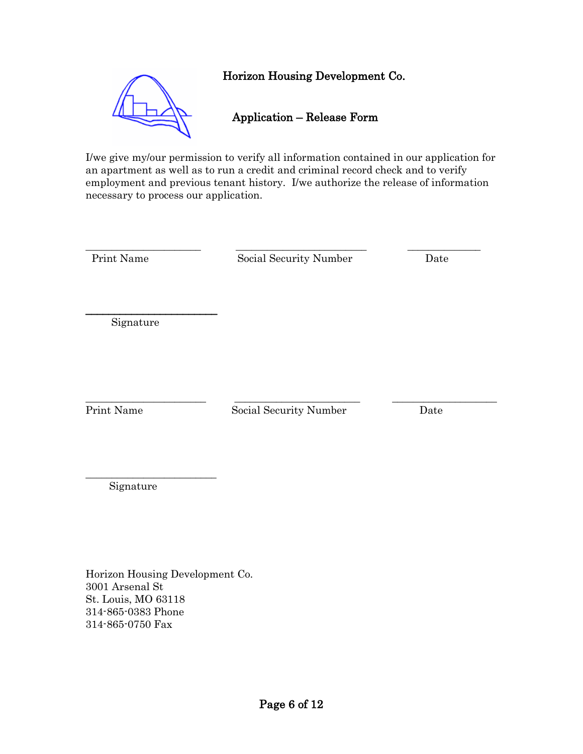

I/we give my/our permission to verify all information contained in our application for an apartment as well as to run a credit and criminal record check and to verify employment and previous tenant history. I/we authorize the release of information necessary to process our application.

\_\_\_\_\_\_\_\_\_\_\_\_\_\_\_\_\_\_\_\_\_\_ \_\_\_\_\_\_\_\_\_\_\_\_\_\_\_\_\_\_\_\_\_\_\_\_\_ \_\_\_\_\_\_\_\_\_\_\_\_\_\_

Print Name Social Security Number Date

Signature

\_\_\_\_\_\_\_\_\_\_\_\_\_\_\_\_\_\_\_\_\_\_\_

\_\_\_\_\_\_\_\_\_\_\_\_\_\_\_\_\_\_\_\_\_\_\_ \_\_\_\_\_\_\_\_\_\_\_\_\_\_\_\_\_\_\_\_\_\_\_\_ \_\_\_\_\_\_\_\_\_\_\_\_\_\_\_\_\_\_\_\_

Print Name Social Security Number Date

Signature

\_\_\_\_\_\_\_\_\_\_\_\_\_\_\_\_\_\_\_\_\_\_\_\_\_

Horizon Housing Development Co. 3001 Arsenal St St. Louis, MO 63118 314-865-0383 Phone 314-865-0750 Fax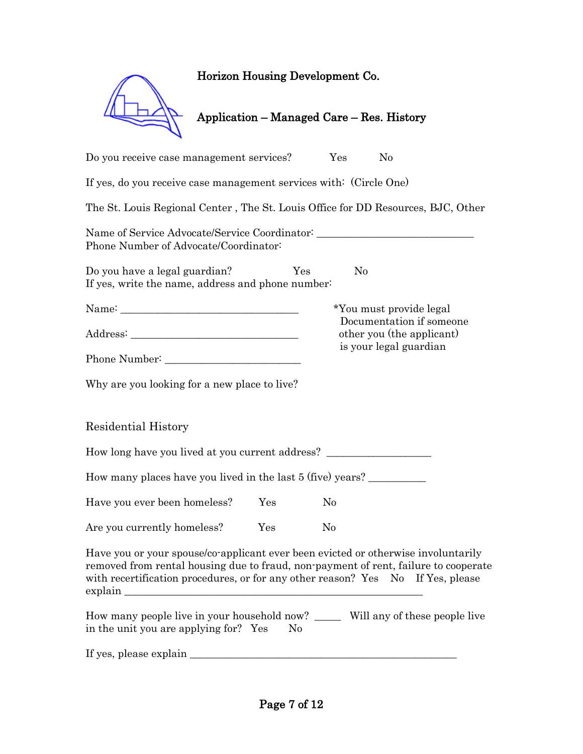| Horizon Housing Development Co.           |     |  |
|-------------------------------------------|-----|--|
| Application – Managed Care – Res. History |     |  |
| Do you receive case management services?  | Yes |  |

If yes, do you receive case management services with: (Circle One) The St. Louis Regional Center , The St. Louis Office for DD Resources, BJC, Other Name of Service Advocate/Service Coordinator: \_\_\_\_\_\_\_\_\_\_\_\_\_\_\_\_\_\_\_\_\_\_\_\_\_\_\_\_\_\_\_\_\_\_ Phone Number of Advocate/Coordinator: Do you have a legal guardian? Yes No If yes, write the name, address and phone number: Name: \_\_\_\_\_\_\_\_\_\_\_\_\_\_\_\_\_\_\_\_\_\_\_\_\_\_\_\_\_\_\_\_\_\_\_ \*You must provide legal Documentation if someone Address: \_\_\_\_\_\_\_\_\_\_\_\_\_\_\_\_\_\_\_\_\_\_\_\_\_\_\_\_\_\_\_\_ other you (the applicant) is your legal guardian Phone Number: Why are you looking for a new place to live? Residential History How long have you lived at you current address? \_\_\_\_\_\_\_\_\_\_\_\_\_\_\_\_\_\_\_\_\_\_\_\_\_\_\_\_\_\_\_\_ How many places have you lived in the last 5 (five) years? \_\_\_\_\_\_\_\_\_\_\_\_\_\_\_\_\_\_\_\_\_ Have you ever been homeless? Yes No Are you currently homeless? Yes No Have you or your spouse/co-applicant ever been evicted or otherwise involuntarily removed from rental housing due to fraud, non-payment of rent, failure to cooperate with recertification procedures, or for any other reason? Yes No If Yes, please explain How many people live in your household now? \_\_\_\_\_ Will any of these people live in the unit you are applying for? Yes No

If yes, please explain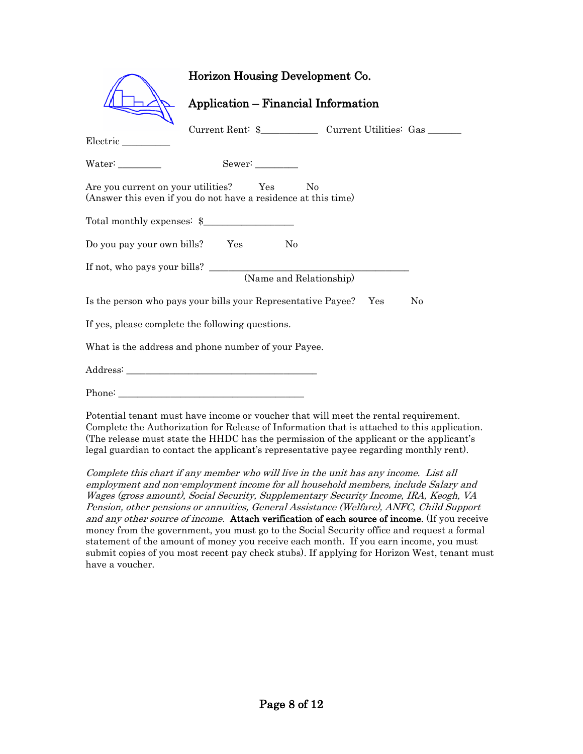|                                                                                    | Horizon Housing Development Co.                                |                |  |  |
|------------------------------------------------------------------------------------|----------------------------------------------------------------|----------------|--|--|
|                                                                                    | <b>Application - Financial Information</b>                     |                |  |  |
| Electric                                                                           |                                                                |                |  |  |
|                                                                                    | Sewer:                                                         |                |  |  |
| Are you current on your utilities? Yes                                             | (Answer this even if you do not have a residence at this time) | N <sub>0</sub> |  |  |
|                                                                                    | Total monthly expenses: \$                                     |                |  |  |
| Do you pay your own bills? Yes                                                     | N <sub>0</sub>                                                 |                |  |  |
| (Name and Relationship)                                                            |                                                                |                |  |  |
| Is the person who pays your bills your Representative Payee? Yes<br>N <sub>0</sub> |                                                                |                |  |  |
| If yes, please complete the following questions.                                   |                                                                |                |  |  |
| What is the address and phone number of your Payee.                                |                                                                |                |  |  |
|                                                                                    |                                                                |                |  |  |
|                                                                                    |                                                                |                |  |  |

Potential tenant must have income or voucher that will meet the rental requirement. Complete the Authorization for Release of Information that is attached to this application. (The release must state the HHDC has the permission of the applicant or the applicant's legal guardian to contact the applicant's representative payee regarding monthly rent).

Complete this chart if any member who will live in the unit has any income. List all employment and non-employment income for all household members, include Salary and Wages (gross amount), Social Security, Supplementary Security Income, IRA, Keogh, VA Pension, other pensions or annuities, General Assistance (Welfare), ANFC, Child Support and any other source of income. Attach verification of each source of income. (If you receive money from the government, you must go to the Social Security office and request a formal statement of the amount of money you receive each month. If you earn income, you must submit copies of you most recent pay check stubs). If applying for Horizon West, tenant must have a voucher.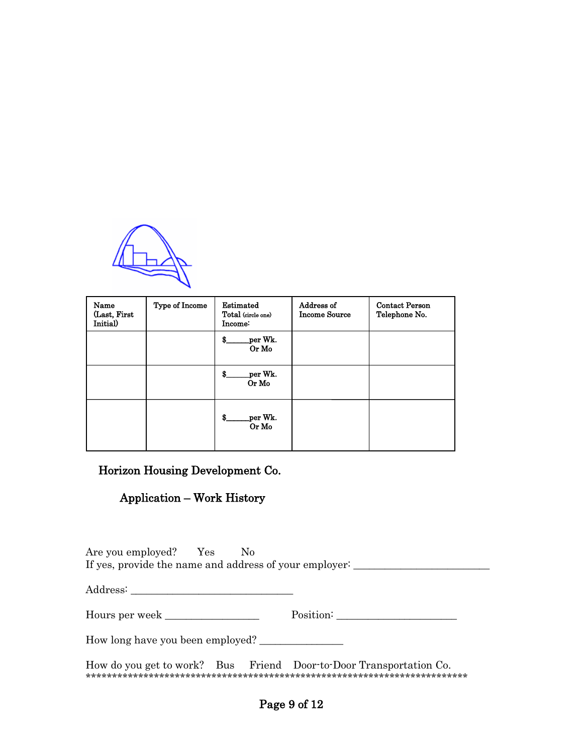

| Name<br>(Last, First<br>Initial) | Type of Income | Estimated<br>Total (circle one)<br>Income: | Address of<br><b>Income Source</b> | <b>Contact Person</b><br>Telephone No. |
|----------------------------------|----------------|--------------------------------------------|------------------------------------|----------------------------------------|
|                                  |                | per Wk.<br>\$.<br>Or Mo                    |                                    |                                        |
|                                  |                | per Wk.<br>\$<br>Or Mo                     |                                    |                                        |
|                                  |                | per Wk.<br>\$.<br>Or Mo                    |                                    |                                        |

#### Application – Work History

Are you employed? Yes No If yes, provide the name and address of your employer: \_\_\_\_\_\_\_\_\_\_\_\_\_\_\_\_\_\_\_\_\_\_\_\_\_

Address: \_\_\_\_\_\_\_\_\_\_\_\_\_\_\_\_\_\_\_\_\_\_\_\_\_\_\_\_\_\_\_

Hours per week \_\_\_\_\_\_\_\_\_\_\_\_\_\_\_\_\_\_ Position: \_\_\_\_\_\_\_\_\_\_\_\_\_\_\_\_\_\_\_\_\_\_\_

How long have you been employed? \_\_\_\_\_\_\_\_\_\_\_\_\_\_\_\_

How do you get to work? Bus Friend Door-to-Door Transportation Co. \*\*\*\*\*\*\*\*\*\*\*\*\*\*\*\*\*\*\*\*\*\*\*\*\*\*\*\*\*\*\*\*\*\*\*\*\*\*\*\*\*\*\*\*\*\*\*\*\*\*\*\*\*\*\*\*\*\*\*\*\*\*\*\*\*\*\*\*\*\*\*\*\*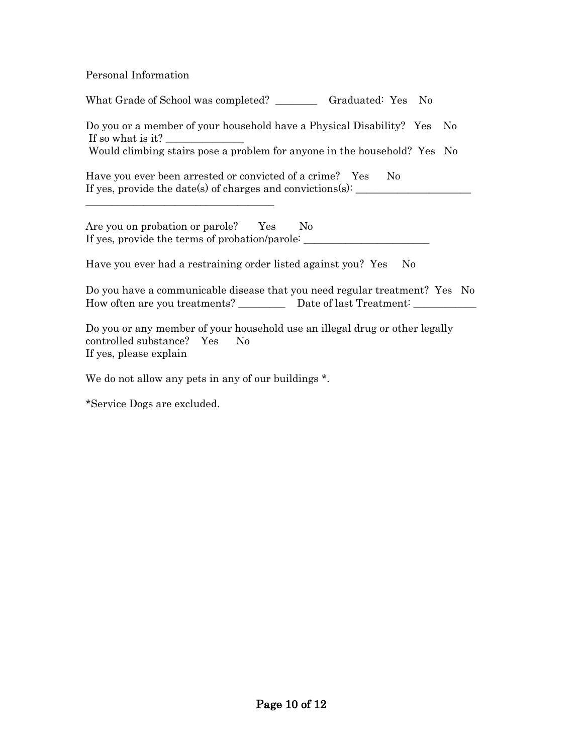Personal Information

What Grade of School was completed? \_\_\_\_\_\_\_\_ Graduated: Yes No Do you or a member of your household have a Physical Disability? Yes No If so what is it?  $\overline{\phantom{a}}$ Would climbing stairs pose a problem for anyone in the household? Yes No Have you ever been arrested or convicted of a crime? Yes No If yes, provide the date(s) of charges and convictions $(s)$ : \_\_\_\_\_\_\_\_\_\_\_\_\_\_\_\_\_\_\_\_\_\_\_\_\_\_\_\_\_\_\_\_\_\_\_\_ Are you on probation or parole? Yes No If yes, provide the terms of probation/parole: \_\_\_\_\_\_\_\_\_\_\_\_\_\_\_\_\_\_\_\_\_\_\_\_\_\_\_\_\_\_\_\_\_ Have you ever had a restraining order listed against you? Yes No

Do you have a communicable disease that you need regular treatment? Yes No How often are you treatments? \_\_\_\_\_\_\_\_\_\_\_\_\_ Date of last Treatment: \_\_\_\_\_\_\_\_\_\_\_\_

Do you or any member of your household use an illegal drug or other legally controlled substance? Yes No If yes, please explain

We do not allow any pets in any of our buildings  $*$ .

\*Service Dogs are excluded.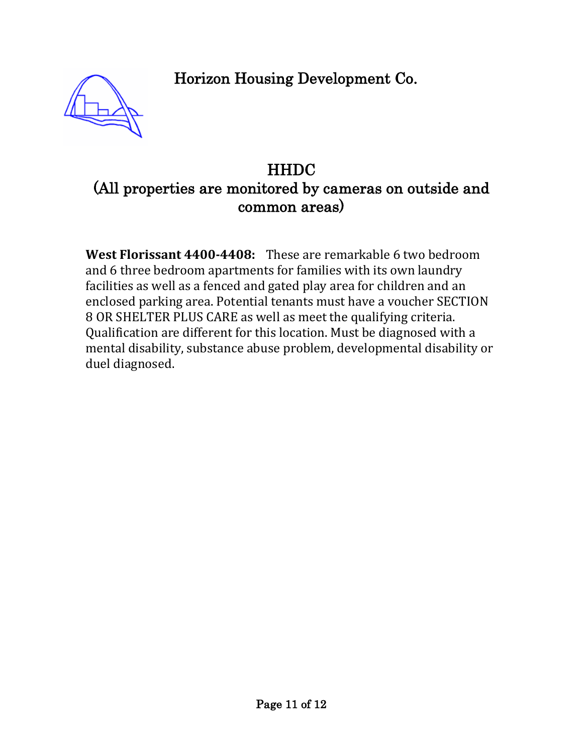

# **HHDC** (All properties are monitored by cameras on outside and common areas)

**West Florissant 4400-4408:** These are remarkable 6 two bedroom and 6 three bedroom apartments for families with its own laundry facilities as well as a fenced and gated play area for children and an enclosed parking area. Potential tenants must have a voucher SECTION 8 OR SHELTER PLUS CARE as well as meet the qualifying criteria. Qualification are different for this location. Must be diagnosed with a mental disability, substance abuse problem, developmental disability or duel diagnosed.